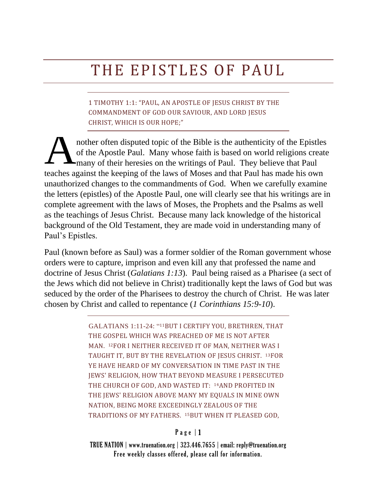## THE EPISTLES OF PAUL

1 TIMOTHY 1:1: "PAUL, AN APOSTLE OF JESUS CHRIST BY THE COMMANDMENT OF GOD OUR SAVIOUR, AND LORD JESUS CHRIST, WHICH IS OUR HOPE;"

nother often disputed topic of the Bible is the authenticity of the Epistles of the Apostle Paul. Many whose faith is based on world religions create many of their heresies on the writings of Paul. They believe that Paul teaches against the keeping of the laws of Moses and that Paul has made his own unauthorized changes to the commandments of God. When we carefully examine the letters (epistles) of the Apostle Paul, one will clearly see that his writings are in complete agreement with the laws of Moses, the Prophets and the Psalms as well as the teachings of Jesus Christ. Because many lack knowledge of the historical background of the Old Testament, they are made void in understanding many of Paul's Epistles. A

Paul (known before as Saul) was a former soldier of the Roman government whose orders were to capture, imprison and even kill any that professed the name and doctrine of Jesus Christ (*Galatians 1:13*). Paul being raised as a Pharisee (a sect of the Jews which did not believe in Christ) traditionally kept the laws of God but was seduced by the order of the Pharisees to destroy the church of Christ. He was later chosen by Christ and called to repentance (*1 Corinthians 15:9-10*).

> GALATIANS 1:11-24: "11BUT I CERTIFY YOU, BRETHREN, THAT THE GOSPEL WHICH WAS PREACHED OF ME IS NOT AFTER MAN. 12FOR I NEITHER RECEIVED IT OF MAN, NEITHER WAS I TAUGHT IT, BUT BY THE REVELATION OF JESUS CHRIST. 13FOR YE HAVE HEARD OF MY CONVERSATION IN TIME PAST IN THE JEWS' RELIGION, HOW THAT BEYOND MEASURE I PERSECUTED THE CHURCH OF GOD, AND WASTED IT: 14AND PROFITED IN THE JEWS' RELIGION ABOVE MANY MY EQUALS IN MINE OWN NATION, BEING MORE EXCEEDINGLY ZEALOUS OF THE TRADITIONS OF MY FATHERS. 15BUT WHEN IT PLEASED GOD,

## $P$  a g e  $|1$

TRUE NATION | www.truenation.org | 323.446.7655 | email: reply@truenation.org Free weekly classes offered, please call for information.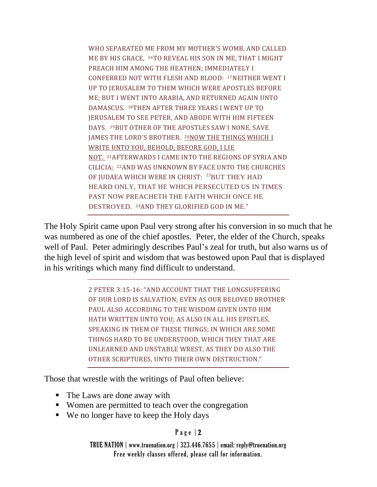WHO SEPARATED ME FROM MY MOTHER'S WOMB, AND CALLED ME BY HIS GRACE, 16TO REVEAL HIS SON IN ME, THAT I MIGHT PREACH HIM AMONG THE HEATHEN; IMMEDIATELY I CONFERRED NOT WITH FLESH AND BLOOD: 17NEITHER WENT I UP TO JERUSALEM TO THEM WHICH WERE APOSTLES BEFORE ME; BUT I WENT INTO ARABIA, AND RETURNED AGAIN UNTO DAMASCUS. 18THEN AFTER THREE YEARS I WENT UP TO JERUSALEM TO SEE PETER, AND ABODE WITH HIM FIFTEEN DAYS. 19BUT OTHER OF THE APOSTLES SAW I NONE, SAVE JAMES THE LORD'S BROTHER. 20NOW THE THINGS WHICH I WRITE UNTO YOU, BEHOLD, BEFORE GOD, I LIE NOT. 21AFTERWARDS I CAME INTO THE REGIONS OF SYRIA AND CILICIA; 22AND WAS UNKNOWN BY FACE UNTO THE CHURCHES OF JUDAEA WHICH WERE IN CHRIST: <sup>23</sup>BUT THEY HAD HEARD ONLY, THAT HE WHICH PERSECUTED US IN TIMES PAST NOW PREACHETH THE FAITH WHICH ONCE HE DESTROYED. 24AND THEY GLORIFIED GOD IN ME."

The Holy Spirit came upon Paul very strong after his conversion in so much that he was numbered as one of the chief apostles. Peter, the elder of the Church, speaks well of Paul. Peter admiringly describes Paul's zeal for truth, but also warns us of the high level of spirit and wisdom that was bestowed upon Paul that is displayed in his writings which many find difficult to understand.

> 2 PETER 3:15-16: "AND ACCOUNT THAT THE LONGSUFFERING OF OUR LORD IS SALVATION; EVEN AS OUR BELOVED BROTHER PAUL ALSO ACCORDING TO THE WISDOM GIVEN UNTO HIM HATH WRITTEN UNTO YOU; AS ALSO IN ALL HIS EPISTLES, SPEAKING IN THEM OF THESE THINGS; IN WHICH ARE SOME THINGS HARD TO BE UNDERSTOOD, WHICH THEY THAT ARE UNLEARNED AND UNSTABLE WREST, AS THEY DO ALSO THE OTHER SCRIPTURES, UNTO THEIR OWN DESTRUCTION."

Those that wrestle with the writings of Paul often believe:

- The Laws are done away with
- Women are permitted to teach over the congregation
- We no longer have to keep the Holy days

## P a g e | 2

TRUE NATION | www.truenation.org | 323.446.7655 | email: reply@truenation.org Free weekly classes offered, please call for information.